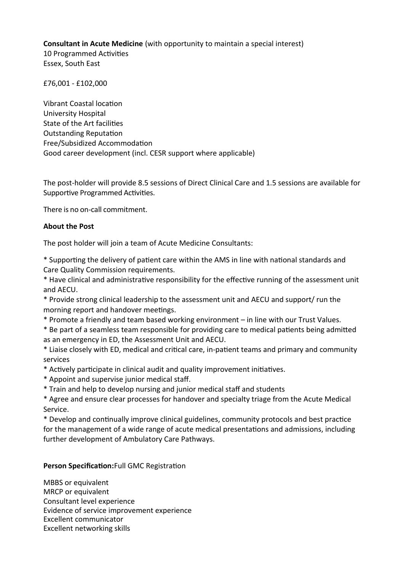**Consultant in Acute Medicine** (with opportunity to maintain a special interest)

10 Programmed Activities Essex, South East

£76,001 - £102,000

Vibrant Coastal location University Hospital State of the Art facilities **Outstanding Reputation** Free/Subsidized Accommodaton Good career development (incl. CESR support where applicable)

The post-holder will provide 8.5 sessions of Direct Clinical Care and 1.5 sessions are available for Supportive Programmed Activities.

There is no on-call commitment.

## **About the Post**

The post holder will join a team of Acute Medicine Consultants:

\* Supportng the delivery of patent care within the AMS in line with natonal standards and Care Quality Commission requirements.

\* Have clinical and administratve responsibility for the efectve running of the assessment unit and AECU.

\* Provide strong clinical leadership to the assessment unit and AECU and support/ run the morning report and handover meetings.

\* Promote a friendly and team based working environment – in line with our Trust Values.

\* Be part of a seamless team responsible for providing care to medical patents being admited as an emergency in ED, the Assessment Unit and AECU.

\* Liaise closely with ED, medical and critcal care, in-patent teams and primary and community services

- \* Actvely partcipate in clinical audit and quality improvement initatves.
- \* Appoint and supervise junior medical staf.
- \* Train and help to develop nursing and junior medical staff and students

\* Agree and ensure clear processes for handover and specialty triage from the Acute Medical Service.

\* Develop and continually improve clinical guidelines, community protocols and best practice for the management of a wide range of acute medical presentations and admissions, including further development of Ambulatory Care Pathways.

## Person Specification: Full GMC Registration

MBBS or equivalent MRCP or equivalent Consultant level experience Evidence of service improvement experience Excellent communicator Excellent networking skills